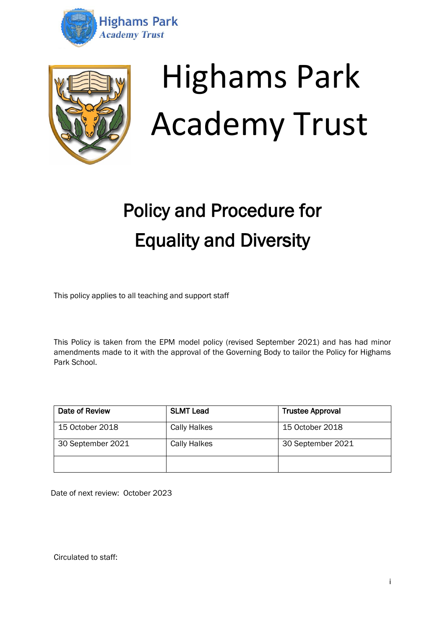



# Highams Park Academy Trust

# Policy and Procedure for Equality and Diversity

This policy applies to all teaching and support staff

This Policy is taken from the EPM model policy (revised September 2021) and has had minor amendments made to it with the approval of the Governing Body to tailor the Policy for Highams Park School.

| Date of Review    | <b>SLMT Lead</b>    | <b>Trustee Approval</b> |
|-------------------|---------------------|-------------------------|
| 15 October 2018   | <b>Cally Halkes</b> | 15 October 2018         |
| 30 September 2021 | <b>Cally Halkes</b> | 30 September 2021       |
|                   |                     |                         |

Date of next review: October 2023

Circulated to staff: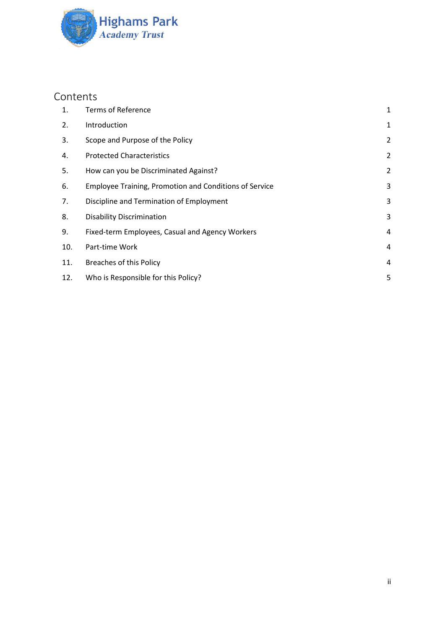

## Contents

| 1.  | <b>Terms of Reference</b>                              | 1              |
|-----|--------------------------------------------------------|----------------|
| 2.  | Introduction                                           | 1              |
| 3.  | Scope and Purpose of the Policy                        | $\overline{2}$ |
| 4.  | <b>Protected Characteristics</b>                       | $\overline{2}$ |
| 5.  | How can you be Discriminated Against?                  | $\overline{2}$ |
| 6.  | Employee Training, Promotion and Conditions of Service | 3              |
| 7.  | Discipline and Termination of Employment               | 3              |
| 8.  | <b>Disability Discrimination</b>                       | 3              |
| 9.  | Fixed-term Employees, Casual and Agency Workers        | 4              |
| 10. | Part-time Work                                         | 4              |
| 11. | <b>Breaches of this Policy</b>                         | 4              |
| 12. | Who is Responsible for this Policy?                    | 5              |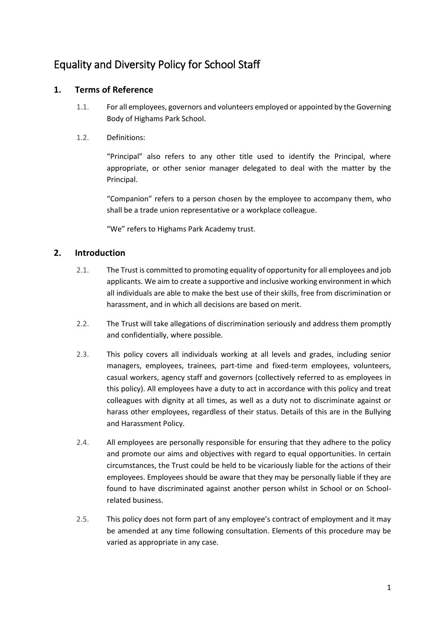### Equality and Diversity Policy for School Staff

#### <span id="page-2-0"></span>**1. Terms of Reference**

- 1.1. For all employees, governors and volunteers employed or appointed by the Governing Body of Highams Park School.
- 1.2. Definitions:

"Principal" also refers to any other title used to identify the Principal, where appropriate, or other senior manager delegated to deal with the matter by the Principal.

"Companion" refers to a person chosen by the employee to accompany them, who shall be a trade union representative or a workplace colleague.

"We" refers to Highams Park Academy trust.

#### <span id="page-2-1"></span>**2. Introduction**

- 2.1. The Trust is committed to promoting equality of opportunity for all employees and job applicants. We aim to create a supportive and inclusive working environment in which all individuals are able to make the best use of their skills, free from discrimination or harassment, and in which all decisions are based on merit.
- 2.2. The Trust will take allegations of discrimination seriously and address them promptly and confidentially, where possible.
- 2.3. This policy covers all individuals working at all levels and grades, including senior managers, employees, trainees, part-time and fixed-term employees, volunteers, casual workers, agency staff and governors (collectively referred to as employees in this policy). All employees have a duty to act in accordance with this policy and treat colleagues with dignity at all times, as well as a duty not to discriminate against or harass other employees, regardless of their status. Details of this are in the Bullying and Harassment Policy.
- 2.4. All employees are personally responsible for ensuring that they adhere to the policy and promote our aims and objectives with regard to equal opportunities. In certain circumstances, the Trust could be held to be vicariously liable for the actions of their employees. Employees should be aware that they may be personally liable if they are found to have discriminated against another person whilst in School or on Schoolrelated business.
- 2.5. This policy does not form part of any employee's contract of employment and it may be amended at any time following consultation. Elements of this procedure may be varied as appropriate in any case.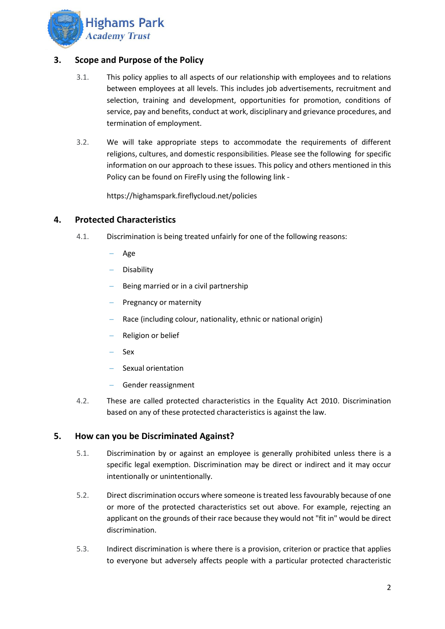

#### <span id="page-3-0"></span>**3. Scope and Purpose of the Policy**

- 3.1. This policy applies to all aspects of our relationship with employees and to relations between employees at all levels. This includes job advertisements, recruitment and selection, training and development, opportunities for promotion, conditions of service, pay and benefits, conduct at work, disciplinary and grievance procedures, and termination of employment.
- 3.2. We will take appropriate steps to accommodate the requirements of different religions, cultures, and domestic responsibilities. Please see the following for specific information on our approach to these issues. This policy and others mentioned in this Policy can be found on FireFly using the following link -

https://highamspark.fireflycloud.net/policies

#### <span id="page-3-1"></span>**4. Protected Characteristics**

- 4.1. Discrimination is being treated unfairly for one of the following reasons:
	- − Age
	- − Disability
	- Being married or in a civil partnership
	- − Pregnancy or maternity
	- − Race (including colour, nationality, ethnic or national origin)
	- − Religion or belief
	- − Sex
	- − Sexual orientation
	- − Gender reassignment
- 4.2. These are called protected characteristics in the Equality Act 2010. Discrimination based on any of these protected characteristics is against the law.

#### <span id="page-3-2"></span>**5. How can you be Discriminated Against?**

- 5.1. Discrimination by or against an employee is generally prohibited unless there is a specific legal exemption. Discrimination may be direct or indirect and it may occur intentionally or unintentionally.
- 5.2. Direct discrimination occurs where someone is treated less favourably because of one or more of the protected characteristics set out above. For example, rejecting an applicant on the grounds of their race because they would not "fit in" would be direct discrimination.
- 5.3. Indirect discrimination is where there is a provision, criterion or practice that applies to everyone but adversely affects people with a particular protected characteristic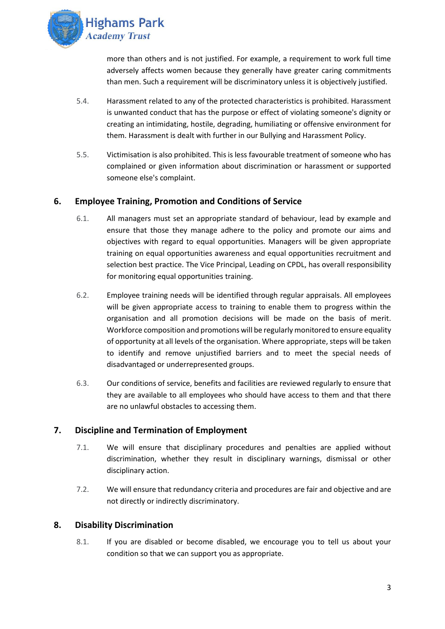

more than others and is not justified. For example, a requirement to work full time adversely affects women because they generally have greater caring commitments than men. Such a requirement will be discriminatory unless it is objectively justified.

- 5.4. Harassment related to any of the protected characteristics is prohibited. Harassment is unwanted conduct that has the purpose or effect of violating someone's dignity or creating an intimidating, hostile, degrading, humiliating or offensive environment for them. Harassment is dealt with further in our Bullying and Harassment Policy.
- 5.5. Victimisation is also prohibited. This is less favourable treatment of someone who has complained or given information about discrimination or harassment or supported someone else's complaint.

#### <span id="page-4-0"></span>**6. Employee Training, Promotion and Conditions of Service**

- 6.1. All managers must set an appropriate standard of behaviour, lead by example and ensure that those they manage adhere to the policy and promote our aims and objectives with regard to equal opportunities. Managers will be given appropriate training on equal opportunities awareness and equal opportunities recruitment and selection best practice. The Vice Principal, Leading on CPDL, has overall responsibility for monitoring equal opportunities training.
- 6.2. Employee training needs will be identified through regular appraisals. All employees will be given appropriate access to training to enable them to progress within the organisation and all promotion decisions will be made on the basis of merit. Workforce composition and promotions will be regularly monitored to ensure equality of opportunity at all levels of the organisation. Where appropriate, steps will be taken to identify and remove unjustified barriers and to meet the special needs of disadvantaged or underrepresented groups.
- 6.3. Our conditions of service, benefits and facilities are reviewed regularly to ensure that they are available to all employees who should have access to them and that there are no unlawful obstacles to accessing them.

#### <span id="page-4-1"></span>**7. Discipline and Termination of Employment**

- 7.1. We will ensure that disciplinary procedures and penalties are applied without discrimination, whether they result in disciplinary warnings, dismissal or other disciplinary action.
- 7.2. We will ensure that redundancy criteria and procedures are fair and objective and are not directly or indirectly discriminatory.

#### <span id="page-4-2"></span>**8. Disability Discrimination**

8.1. If you are disabled or become disabled, we encourage you to tell us about your condition so that we can support you as appropriate.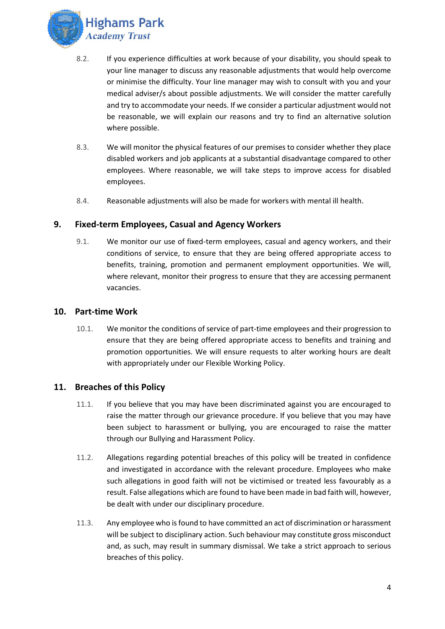

- 8.2. If you experience difficulties at work because of your disability, you should speak to your line manager to discuss any reasonable adjustments that would help overcome or minimise the difficulty. Your line manager may wish to consult with you and your medical adviser/s about possible adjustments. We will consider the matter carefully and try to accommodate your needs. If we consider a particular adjustment would not be reasonable, we will explain our reasons and try to find an alternative solution where possible.
- 8.3. We will monitor the physical features of our premises to consider whether they place disabled workers and job applicants at a substantial disadvantage compared to other employees. Where reasonable, we will take steps to improve access for disabled employees.
- 8.4. Reasonable adjustments will also be made for workers with mental ill health.

#### <span id="page-5-0"></span>**9. Fixed-term Employees, Casual and Agency Workers**

9.1. We monitor our use of fixed-term employees, casual and agency workers, and their conditions of service, to ensure that they are being offered appropriate access to benefits, training, promotion and permanent employment opportunities. We will, where relevant, monitor their progress to ensure that they are accessing permanent vacancies.

#### <span id="page-5-1"></span>**10. Part-time Work**

10.1. We monitor the conditions of service of part-time employees and their progression to ensure that they are being offered appropriate access to benefits and training and promotion opportunities. We will ensure requests to alter working hours are dealt with appropriately under our Flexible Working Policy.

#### <span id="page-5-2"></span>**11. Breaches of this Policy**

- 11.1. If you believe that you may have been discriminated against you are encouraged to raise the matter through our grievance procedure. If you believe that you may have been subject to harassment or bullying, you are encouraged to raise the matter through our Bullying and Harassment Policy.
- 11.2. Allegations regarding potential breaches of this policy will be treated in confidence and investigated in accordance with the relevant procedure. Employees who make such allegations in good faith will not be victimised or treated less favourably as a result. False allegations which are found to have been made in bad faith will, however, be dealt with under our disciplinary procedure.
- 11.3. Any employee who is found to have committed an act of discrimination or harassment will be subject to disciplinary action. Such behaviour may constitute gross misconduct and, as such, may result in summary dismissal. We take a strict approach to serious breaches of this policy.